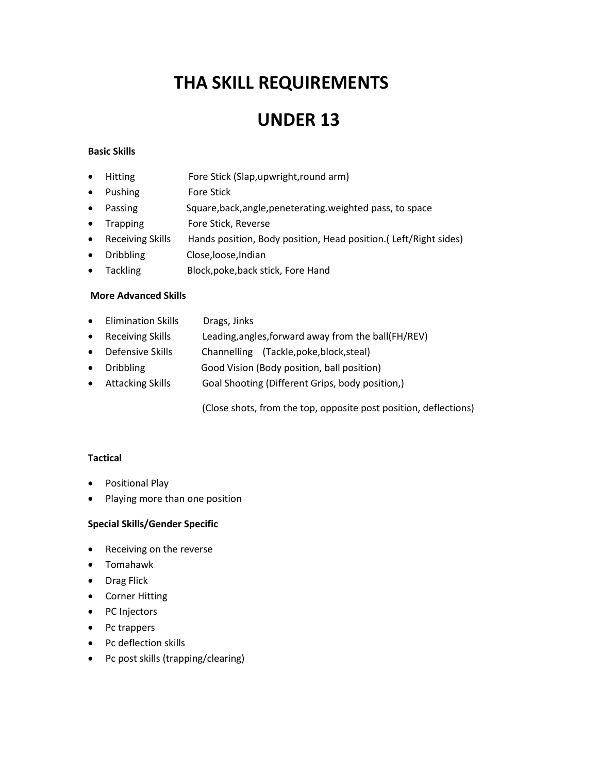# **THA SKILL REQUIREMENTS**

### **UNDER 13**

#### **Basic Skills**

- Hitting Fore Stick (Slap,upwright,round arm)
- Pushing Fore Stick
- Passing Square,back,angle,peneterating.weighted pass, to space
- Trapping Fore Stick, Reverse
- Receiving Skills Hands position, Body position, Head position.( Left/Right sides)
- Dribbling Close,loose,Indian
- Tackling Block,poke,back stick, Fore Hand

#### **More Advanced Skills**

- Elimination Skills Drags, Jinks
- Receiving Skills Leading,angles,forward away from the ball(FH/REV)
- Defensive Skills Channelling (Tackle,poke,block,steal)
- Dribbling Good Vision (Body position, ball position)
- Attacking Skills Goal Shooting (Different Grips, body position,)

(Close shots, from the top, opposite post position, deflections)

#### **Tactical**

- **•** Positional Play
- Playing more than one position

#### **Special Skills/Gender Specific**

- Receiving on the reverse
- Tomahawk
- Drag Flick
- Corner Hitting
- PC Injectors
- Pc trappers
- Pc deflection skills
- Pc post skills (trapping/clearing)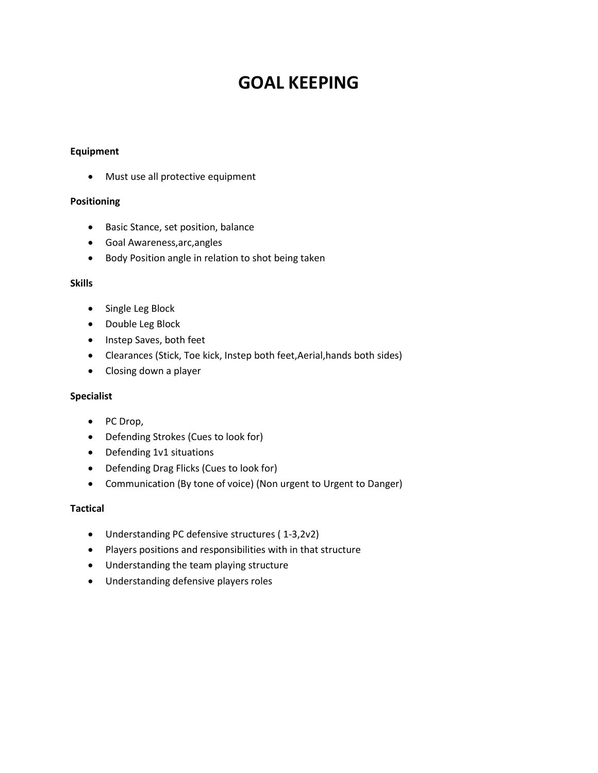## **GOAL KEEPING**

#### **Equipment**

Must use all protective equipment

#### **Positioning**

- **•** Basic Stance, set position, balance
- Goal Awareness,arc,angles
- Body Position angle in relation to shot being taken

#### **Skills**

- Single Leg Block
- Double Leg Block
- Instep Saves, both feet
- Clearances (Stick, Toe kick, Instep both feet,Aerial,hands both sides)
- Closing down a player

#### **Specialist**

- PC Drop,
- Defending Strokes (Cues to look for)
- Defending 1v1 situations
- Defending Drag Flicks (Cues to look for)
- Communication (By tone of voice) (Non urgent to Urgent to Danger)

#### **Tactical**

- Understanding PC defensive structures ( 1-3,2v2)
- Players positions and responsibilities with in that structure
- Understanding the team playing structure
- Understanding defensive players roles